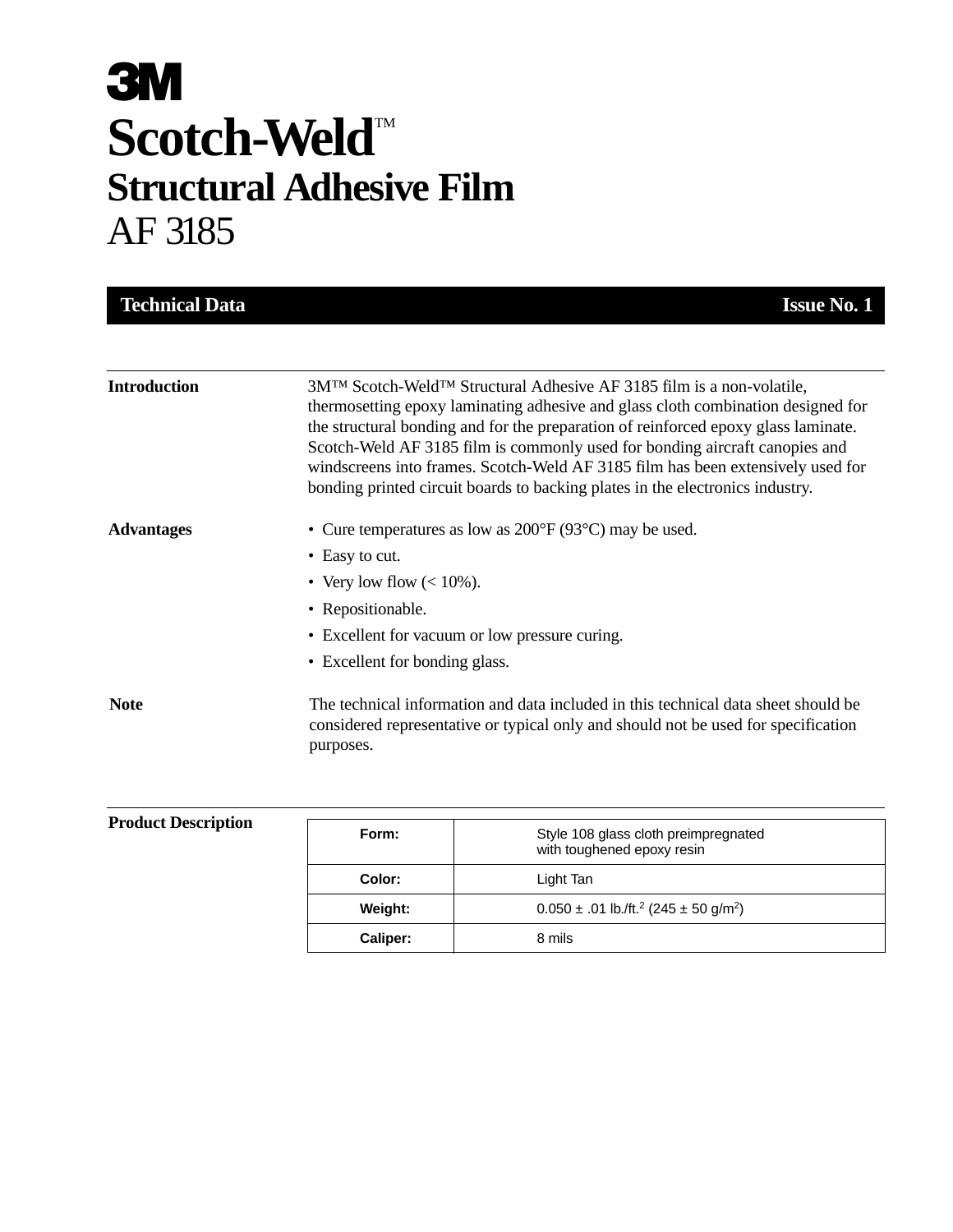# **3M** Scotch-Weld<sup>TM</sup> **Structural Adhesive Film** AF 3185

| <b>Technical Data</b> | <b>Issue No. 1</b>                                                                                                                                                                                                                                                                                                                                                                                                                                                                                                          |
|-----------------------|-----------------------------------------------------------------------------------------------------------------------------------------------------------------------------------------------------------------------------------------------------------------------------------------------------------------------------------------------------------------------------------------------------------------------------------------------------------------------------------------------------------------------------|
|                       |                                                                                                                                                                                                                                                                                                                                                                                                                                                                                                                             |
| <b>Introduction</b>   | 3M <sup>TM</sup> Scotch-Weld <sup>TM</sup> Structural Adhesive AF 3185 film is a non-volatile,<br>thermosetting epoxy laminating adhesive and glass cloth combination designed for<br>the structural bonding and for the preparation of reinforced epoxy glass laminate.<br>Scotch-Weld AF 3185 film is commonly used for bonding aircraft canopies and<br>windscreens into frames. Scotch-Weld AF 3185 film has been extensively used for<br>bonding printed circuit boards to backing plates in the electronics industry. |
| <b>Advantages</b>     | • Cure temperatures as low as $200^{\circ}F(93^{\circ}C)$ may be used.                                                                                                                                                                                                                                                                                                                                                                                                                                                      |
|                       | • Easy to cut.                                                                                                                                                                                                                                                                                                                                                                                                                                                                                                              |
|                       | • Very low flow $(< 10\%)$ .                                                                                                                                                                                                                                                                                                                                                                                                                                                                                                |
|                       | • Repositionable.                                                                                                                                                                                                                                                                                                                                                                                                                                                                                                           |
|                       | • Excellent for vacuum or low pressure curing.                                                                                                                                                                                                                                                                                                                                                                                                                                                                              |
|                       | • Excellent for bonding glass.                                                                                                                                                                                                                                                                                                                                                                                                                                                                                              |
| <b>Note</b>           | The technical information and data included in this technical data sheet should be<br>considered representative or typical only and should not be used for specification<br>purposes.                                                                                                                                                                                                                                                                                                                                       |
|                       |                                                                                                                                                                                                                                                                                                                                                                                                                                                                                                                             |

| <b>Product Description</b> | Form:    | Style 108 glass cloth preimpregnated<br>with toughened epoxy resin    |
|----------------------------|----------|-----------------------------------------------------------------------|
|                            | Color:   | Light Tan                                                             |
|                            | Weight:  | $0.050 \pm .01$ lb./ft. <sup>2</sup> (245 $\pm$ 50 g/m <sup>2</sup> ) |
|                            | Caliper: | 8 mils                                                                |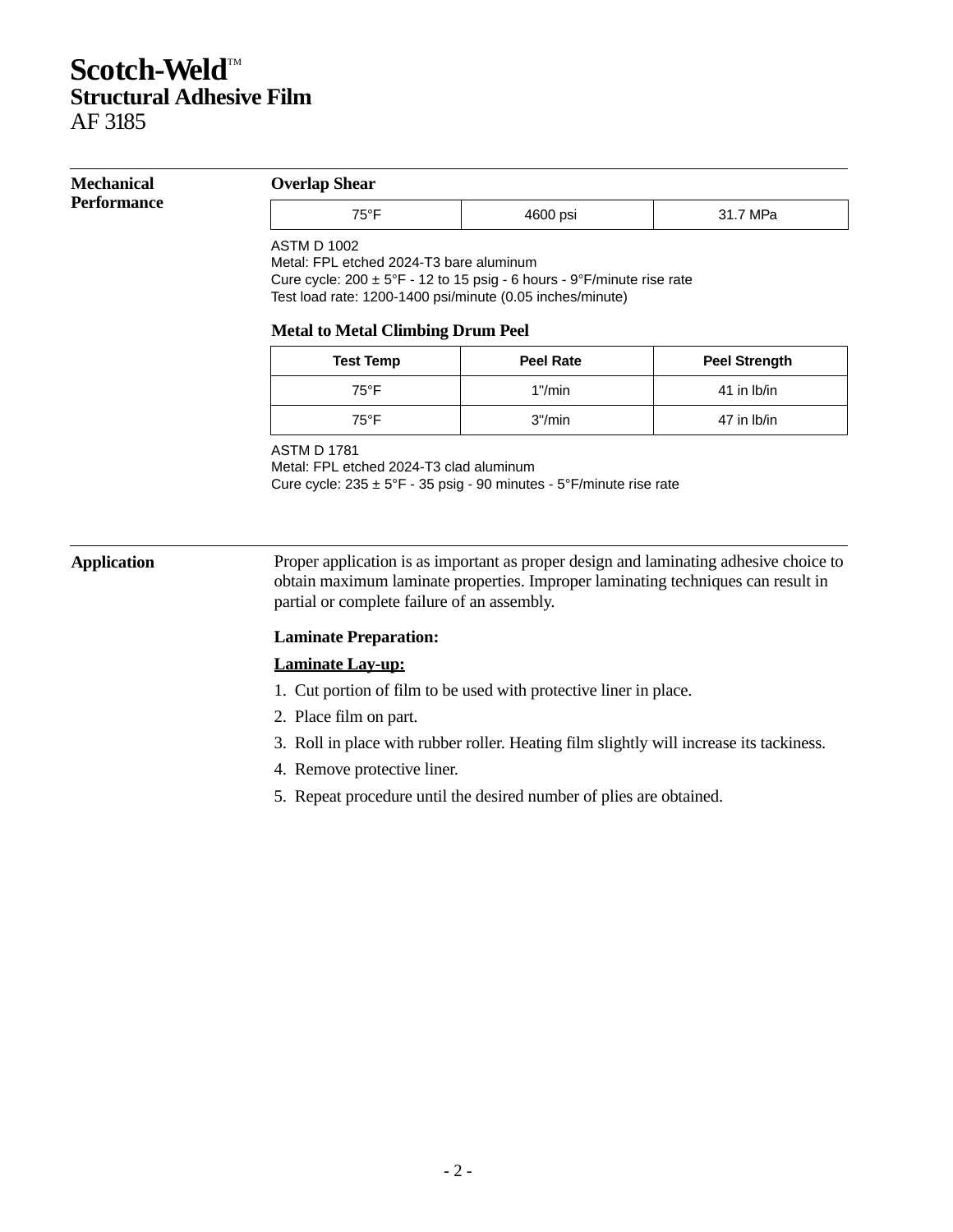# **Scotch-Weld™ Structural Adhesive Film**

AF 3185

### **Mechanical Performance**

### **Overlap Shear**

| . . | .<br>. | <br> |
|-----|--------|------|

ASTM D 1002

Metal: FPL etched 2024-T3 bare aluminum

Cure cycle: 200 ± 5°F - 12 to 15 psig - 6 hours - 9°F/minute rise rate Test load rate: 1200-1400 psi/minute (0.05 inches/minute)

### **Metal to Metal Climbing Drum Peel**

| <b>Test Temp</b> | <b>Peel Rate</b> | <b>Peel Strength</b> |
|------------------|------------------|----------------------|
| 75°F             | $1"$ /min        | 41 in Ib/in          |
| 75°F             | 3''/min          | 47 in Ib/in          |

### ASTM D 1781

Metal: FPL etched 2024-T3 clad aluminum Cure cycle: 235 ± 5°F - 35 psig - 90 minutes - 5°F/minute rise rate

**Application** Proper application is as important as proper design and laminating adhesive choice to obtain maximum laminate properties. Improper laminating techniques can result in partial or complete failure of an assembly.

### **Laminate Preparation:**

### **Laminate Lay-up:**

- 1. Cut portion of film to be used with protective liner in place.
- 2. Place film on part.
- 3. Roll in place with rubber roller. Heating film slightly will increase its tackiness.
- 4. Remove protective liner.
- 5. Repeat procedure until the desired number of plies are obtained.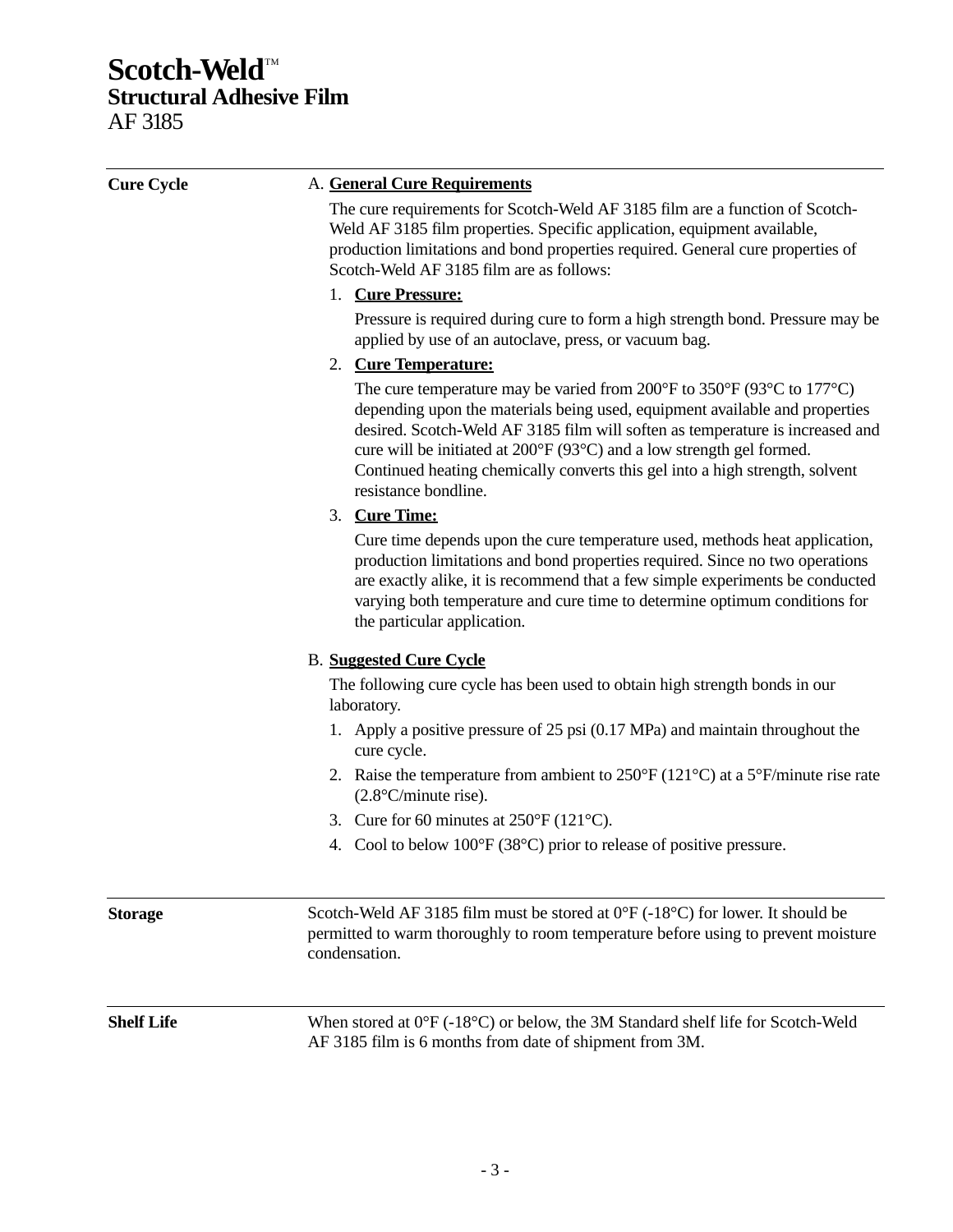# **Scotch-Weld™ Structural Adhesive Film** AF 3185

| <b>Cure Cycle</b> | A. General Cure Requirements                                                                                                                                                                                                                                                                                                                                                                                                                                                   |  |  |
|-------------------|--------------------------------------------------------------------------------------------------------------------------------------------------------------------------------------------------------------------------------------------------------------------------------------------------------------------------------------------------------------------------------------------------------------------------------------------------------------------------------|--|--|
|                   | The cure requirements for Scotch-Weld AF 3185 film are a function of Scotch-<br>Weld AF 3185 film properties. Specific application, equipment available,<br>production limitations and bond properties required. General cure properties of<br>Scotch-Weld AF 3185 film are as follows:                                                                                                                                                                                        |  |  |
|                   | 1. Cure Pressure:                                                                                                                                                                                                                                                                                                                                                                                                                                                              |  |  |
|                   | Pressure is required during cure to form a high strength bond. Pressure may be<br>applied by use of an autoclave, press, or vacuum bag.                                                                                                                                                                                                                                                                                                                                        |  |  |
|                   | 2. Cure Temperature:                                                                                                                                                                                                                                                                                                                                                                                                                                                           |  |  |
|                   | The cure temperature may be varied from 200 $\degree$ F to 350 $\degree$ F (93 $\degree$ C to 177 $\degree$ C)<br>depending upon the materials being used, equipment available and properties<br>desired. Scotch-Weld AF 3185 film will soften as temperature is increased and<br>cure will be initiated at $200^{\circ}F(93^{\circ}C)$ and a low strength gel formed.<br>Continued heating chemically converts this gel into a high strength, solvent<br>resistance bondline. |  |  |
|                   | 3. Cure Time:                                                                                                                                                                                                                                                                                                                                                                                                                                                                  |  |  |
|                   | Cure time depends upon the cure temperature used, methods heat application,<br>production limitations and bond properties required. Since no two operations<br>are exactly alike, it is recommend that a few simple experiments be conducted<br>varying both temperature and cure time to determine optimum conditions for<br>the particular application.                                                                                                                      |  |  |
|                   | <b>B.</b> Suggested Cure Cycle                                                                                                                                                                                                                                                                                                                                                                                                                                                 |  |  |
|                   | The following cure cycle has been used to obtain high strength bonds in our<br>laboratory.                                                                                                                                                                                                                                                                                                                                                                                     |  |  |
|                   | 1. Apply a positive pressure of 25 psi (0.17 MPa) and maintain throughout the<br>cure cycle.                                                                                                                                                                                                                                                                                                                                                                                   |  |  |
|                   | 2. Raise the temperature from ambient to $250^{\circ}F(121^{\circ}C)$ at a $5^{\circ}F/m$ inute rise rate<br>$(2.8^{\circ}C/minute$ rise).                                                                                                                                                                                                                                                                                                                                     |  |  |
|                   | 3. Cure for 60 minutes at $250^{\circ}F(121^{\circ}C)$ .                                                                                                                                                                                                                                                                                                                                                                                                                       |  |  |
|                   | 4. Cool to below $100^{\circ}F(38^{\circ}C)$ prior to release of positive pressure.                                                                                                                                                                                                                                                                                                                                                                                            |  |  |
| <b>Storage</b>    | Scotch-Weld AF 3185 film must be stored at $0^{\circ}F$ (-18 $^{\circ}C$ ) for lower. It should be<br>permitted to warm thoroughly to room temperature before using to prevent moisture<br>condensation.                                                                                                                                                                                                                                                                       |  |  |
| <b>Shelf Life</b> | When stored at $0^{\circ}F$ (-18 $^{\circ}C$ ) or below, the 3M Standard shelf life for Scotch-Weld<br>AF 3185 film is 6 months from date of shipment from 3M.                                                                                                                                                                                                                                                                                                                 |  |  |